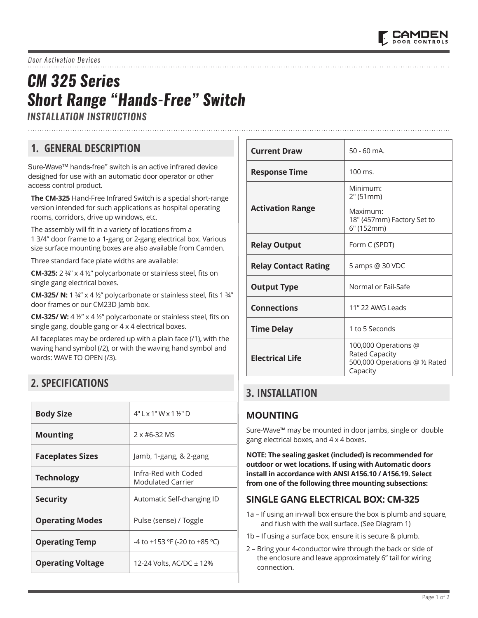

# *CM 325 Series Short Range "Hands-Free" Switch*

*INSTALLATION INSTRUCTIONS*

# **1. GENERAL DESCRIPTION**

Sure-Wave™ hands-free" switch is an active infrared device designed for use with an automatic door operator or other access control product.

**The CM-325** Hand-Free Infrared Switch is a special short-range version intended for such applications as hospital operating rooms, corridors, drive up windows, etc.

The assembly will fit in a variety of locations from a 1 3/4" door frame to a 1-gang or 2-gang electrical box. Various size surface mounting boxes are also available from Camden.

Three standard face plate widths are available:

**CM-325:** 2 ¾" x 4 ½" polycarbonate or stainless steel, fits on single gang electrical boxes.

**CM-325/ N:** 1 ¾" x 4 ½" polycarbonate or stainless steel, fits 1 ¾" door frames or our CM23D Jamb box.

**CM-325/ W:** 4 ½" x 4 ½" polycarbonate or stainless steel, fits on single gang, double gang or 4 x 4 electrical boxes.

All faceplates may be ordered up with a plain face (/1), with the waving hand symbol (/2), or with the waving hand symbol and words: WAVE TO OPEN (/3).

# **2. SPECIFICATIONS**

| <b>Body Size</b>         | $4"1 \times 1"W \times 1\frac{1}{2}"D$           |  |
|--------------------------|--------------------------------------------------|--|
| <b>Mounting</b>          | 2 x #6-32 MS                                     |  |
| <b>Faceplates Sizes</b>  | Jamb, 1-gang, & 2-gang                           |  |
| <b>Technology</b>        | Infra-Red with Coded<br><b>Modulated Carrier</b> |  |
| <b>Security</b>          | Automatic Self-changing ID                       |  |
| <b>Operating Modes</b>   | Pulse (sense) / Toggle                           |  |
| <b>Operating Temp</b>    | -4 to +153 °F (-20 to +85 °C)                    |  |
| <b>Operating Voltage</b> | 12-24 Volts, AC/DC ± 12%                         |  |

| <b>Current Draw</b>         | $50 - 60$ mA.                                                                        |  |
|-----------------------------|--------------------------------------------------------------------------------------|--|
| <b>Response Time</b>        | $100 \text{ ms}$ .                                                                   |  |
| <b>Activation Range</b>     | Minimum:<br>2" (51mm)<br>Maximum:<br>18" (457mm) Factory Set to<br>6" (152mm)        |  |
| <b>Relay Output</b>         | Form C (SPDT)                                                                        |  |
| <b>Relay Contact Rating</b> | 5 amps @ 30 VDC                                                                      |  |
| <b>Output Type</b>          | Normal or Fail-Safe                                                                  |  |
| <b>Connections</b>          | 11" 22 AWG Leads                                                                     |  |
| <b>Time Delay</b>           | 1 to 5 Seconds                                                                       |  |
| <b>Electrical Life</b>      | 100,000 Operations @<br>Rated Capacity<br>500,000 Operations @ 1/2 Rated<br>Capacity |  |

### **3. INSTALLATION**

### **MOUNTING**

Sure-Wave™ may be mounted in door jambs, single or double gang electrical boxes, and 4 x 4 boxes.

**NOTE: The sealing gasket (included) is recommended for outdoor or wet locations. If using with Automatic doors install in accordance with ANSI A156.10 / A156.19. Select from one of the following three mounting subsections:**

#### **SINGLE GANG ELECTRICAL BOX: CM-325**

- 1a If using an in-wall box ensure the box is plumb and square, and flush with the wall surface. (See Diagram 1)
- 1b If using a surface box, ensure it is secure & plumb.
- 2 Bring your 4-conductor wire through the back or side of the enclosure and leave approximately 6" tail for wiring connection.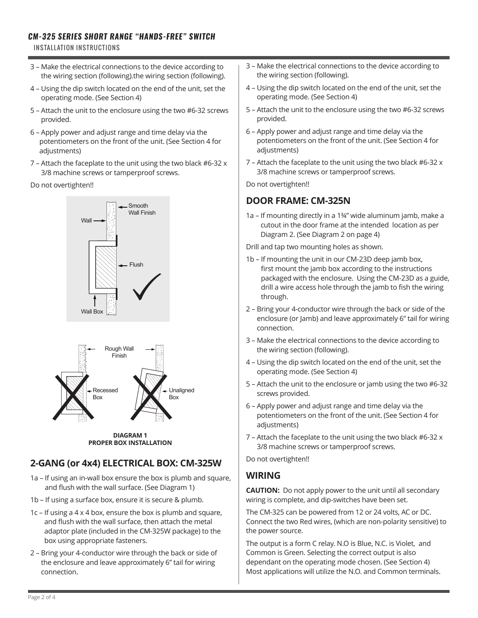#### *CM-325 SERIES SHORT RANGE "HANDS-FREE" SWITCH*

INSTALLATION INSTRUCTIONS

- 3 Make the electrical connections to the device according to the wiring section (following).the wiring section (following).
- 4 Using the dip switch located on the end of the unit, set the operating mode. (See Section 4)
- 5 Attach the unit to the enclosure using the two #6-32 screws provided.
- 6 Apply power and adjust range and time delay via the potentiometers on the front of the unit. (See Section 4 for adjustments)
- 7 Attach the faceplate to the unit using the two black #6-32 x 3/8 machine screws or tamperproof screws.

Do not overtighten!!



**DIAGRAM 1 PROPER BOX INSTALLATION** 

# **2-GANG (or 4x4) ELECTRICAL BOX: CM-325W**

- 1a If using an in-wall box ensure the box is plumb and square, and flush with the wall surface. (See Diagram 1)
- 1b If using a surface box, ensure it is secure & plumb.
- 1c If using a 4 x 4 box, ensure the box is plumb and square, and flush with the wall surface, then attach the metal adaptor plate (included in the CM-325W package) to the box using appropriate fasteners.
- 2 Bring your 4-conductor wire through the back or side of the enclosure and leave approximately 6" tail for wiring connection.
- 3 Make the electrical connections to the device according to the wiring section (following).
- 4 Using the dip switch located on the end of the unit, set the operating mode. (See Section 4)
- 5 Attach the unit to the enclosure using the two #6-32 screws provided.
- 6 Apply power and adjust range and time delay via the potentiometers on the front of the unit. (See Section 4 for adjustments)
- 7 Attach the faceplate to the unit using the two black #6-32 x 3/8 machine screws or tamperproof screws.

Do not overtighten!!

### **DOOR FRAME: CM-325N**

1a – If mounting directly in a 1¾" wide aluminum jamb, make a cutout in the door frame at the intended location as per Diagram 2. (See Diagram 2 on page 4)

Drill and tap two mounting holes as shown.

- 1b If mounting the unit in our CM-23D deep jamb box, first mount the jamb box according to the instructions packaged with the enclosure. Using the CM-23D as a guide, drill a wire access hole through the jamb to fish the wiring through.
- 2 Bring your 4-conductor wire through the back or side of the enclosure (or Jamb) and leave approximately 6" tail for wiring connection.
- 3 Make the electrical connections to the device according to the wiring section (following).
- 4 Using the dip switch located on the end of the unit, set the operating mode. (See Section 4)
- 5 Attach the unit to the enclosure or jamb using the two #6-32 screws provided.
- 6 Apply power and adjust range and time delay via the potentiometers on the front of the unit. (See Section 4 for adjustments)
- 7 Attach the faceplate to the unit using the two black #6-32 x 3/8 machine screws or tamperproof screws.

Do not overtighten!!

### **WIRING**

**CAUTION:** Do not apply power to the unit until all secondary wiring is complete, and dip-switches have been set.

The CM-325 can be powered from 12 or 24 volts, AC or DC. Connect the two Red wires, (which are non-polarity sensitive) to the power source.

The output is a form C relay. N.O is Blue, N.C. is Violet, and Common is Green. Selecting the correct output is also dependant on the operating mode chosen. (See Section 4) Most applications will utilize the N.O. and Common terminals.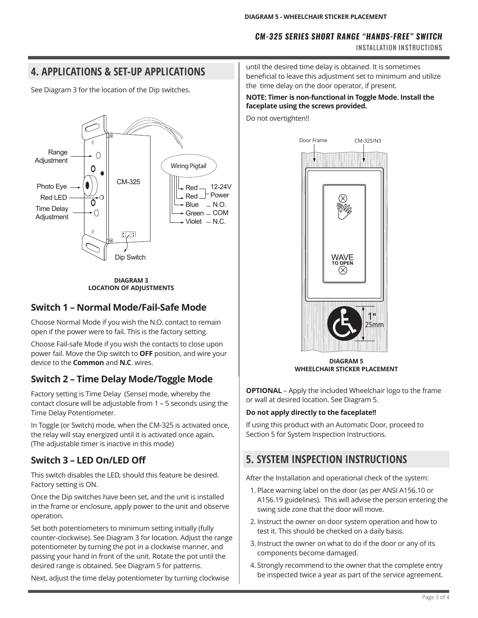#### *CM-325 SERIES SHORT RANGE "HANDS-FREE" SWITCH*

INSTALLATION INSTRUCTIONS

# **4. APPLICATIONS & SET-UP APPLICATIONS**

See Diagram 3 for the location of the Dip switches.



**DIAGRAM 3 LOCATION OF ADJUSTMENTS**

#### **Switch 1 – Normal Mode/Fail-Safe Mode**

Choose Normal Mode if you wish the N.O. contact to remain open if the power were to fail. This is the factory setting.

Choose Fail-safe Mode if you wish the contacts to close upon power fail. Move the Dip switch to **OFF** position, and wire your device to the **Common** and **N.C**. wires.

### **Switch 2 – Time Delay Mode/Toggle Mode**

Factory setting is Time Delay (Sense) mode, whereby the contact closure will be adjustable from 1 – 5 seconds using the Time Delay Potentiometer.

In Toggle (or Switch) mode, when the CM-325 is activated once, the relay will stay energized until it is activated once again. (The adjustable timer is inactive in this mode)

### **Switch 3 – LED On/LED Off**

This switch disables the LED, should this feature be desired. Factory setting is ON.

Once the Dip switches have been set, and the unit is installed in the frame or enclosure, apply power to the unit and observe operation.

Set both potentiometers to minimum setting initially (fully counter-clockwise). See Diagram 3 for location. Adjust the range potentiometer by turning the pot in a clockwise manner, and passing your hand in front of the unit. Rotate the pot until the desired range is obtained. See Diagram 5 for patterns.

Next, adjust the time delay potentiometer by turning clockwise

until the desired time delay is obtained. It is sometimes beneficial to leave this adjustment set to minimum and utilize the time delay on the door operator, if present.

#### **NOTE: Timer is non-functional in Toggle Mode. Install the faceplate using the screws provided.**

Do not overtighten!!



**DIAGRAM 5 WHEELCHAIR STICKER PLACEMENT**

**OPTIONAL** – Apply the included Wheelchair logo to the frame or wall at desired location. See Diagram 5.

#### **Do not apply directly to the faceplate!!**

If using this product with an Automatic Door, proceed to Section 5 for System Inspection Instructions.

# **5. SYSTEM INSPECTION INSTRUCTIONS**

After the Installation and operational check of the system:

- 1. Place warning label on the door (as per ANSI A156.10 or A156.19 guidelines). This will advise the person entering the swing side zone that the door will move.
- 2. Instruct the owner on door system operation and how to test it. This should be checked on a daily basis.
- 3. Instruct the owner on what to do if the door or any of its components become damaged.
- 4. Strongly recommend to the owner that the complete entry be inspected twice a year as part of the service agreement.